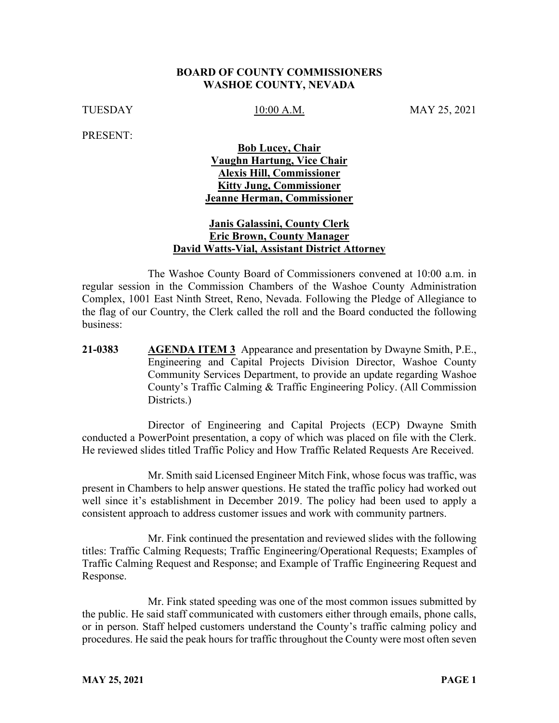#### **BOARD OF COUNTY COMMISSIONERS WASHOE COUNTY, NEVADA**

TUESDAY 10:00 A.M. MAY 25, 2021

PRESENT:

## **Bob Lucey, Chair Vaughn Hartung, Vice Chair Alexis Hill, Commissioner Kitty Jung, Commissioner Jeanne Herman, Commissioner**

#### **Janis Galassini, County Clerk Eric Brown, County Manager David Watts-Vial, Assistant District Attorney**

The Washoe County Board of Commissioners convened at 10:00 a.m. in regular session in the Commission Chambers of the Washoe County Administration Complex, 1001 East Ninth Street, Reno, Nevada. Following the Pledge of Allegiance to the flag of our Country, the Clerk called the roll and the Board conducted the following business:

**21-0383 AGENDA ITEM 3** Appearance and presentation by Dwayne Smith, P.E., Engineering and Capital Projects Division Director, Washoe County Community Services Department, to provide an update regarding Washoe County's Traffic Calming & Traffic Engineering Policy. (All Commission Districts.)

Director of Engineering and Capital Projects (ECP) Dwayne Smith conducted a PowerPoint presentation, a copy of which was placed on file with the Clerk. He reviewed slides titled Traffic Policy and How Traffic Related Requests Are Received.

Mr. Smith said Licensed Engineer Mitch Fink, whose focus was traffic, was present in Chambers to help answer questions. He stated the traffic policy had worked out well since it's establishment in December 2019. The policy had been used to apply a consistent approach to address customer issues and work with community partners.

Mr. Fink continued the presentation and reviewed slides with the following titles: Traffic Calming Requests; Traffic Engineering/Operational Requests; Examples of Traffic Calming Request and Response; and Example of Traffic Engineering Request and Response.

Mr. Fink stated speeding was one of the most common issues submitted by the public. He said staff communicated with customers either through emails, phone calls, or in person. Staff helped customers understand the County's traffic calming policy and procedures. He said the peak hours for traffic throughout the County were most often seven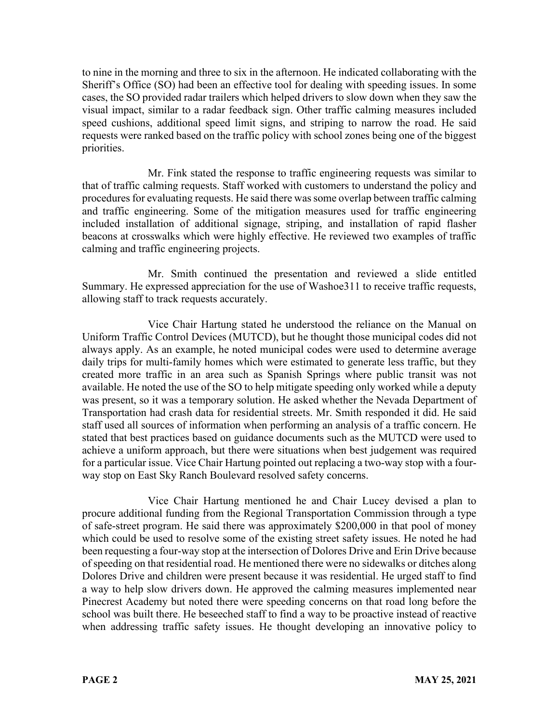to nine in the morning and three to six in the afternoon. He indicated collaborating with the Sheriff's Office (SO) had been an effective tool for dealing with speeding issues. In some cases, the SO provided radar trailers which helped drivers to slow down when they saw the visual impact, similar to a radar feedback sign. Other traffic calming measures included speed cushions, additional speed limit signs, and striping to narrow the road. He said requests were ranked based on the traffic policy with school zones being one of the biggest priorities.

Mr. Fink stated the response to traffic engineering requests was similar to that of traffic calming requests. Staff worked with customers to understand the policy and procedures for evaluating requests. He said there was some overlap between traffic calming and traffic engineering. Some of the mitigation measures used for traffic engineering included installation of additional signage, striping, and installation of rapid flasher beacons at crosswalks which were highly effective. He reviewed two examples of traffic calming and traffic engineering projects.

Mr. Smith continued the presentation and reviewed a slide entitled Summary. He expressed appreciation for the use of Washoe311 to receive traffic requests, allowing staff to track requests accurately.

Vice Chair Hartung stated he understood the reliance on the Manual on Uniform Traffic Control Devices (MUTCD), but he thought those municipal codes did not always apply. As an example, he noted municipal codes were used to determine average daily trips for multi-family homes which were estimated to generate less traffic, but they created more traffic in an area such as Spanish Springs where public transit was not available. He noted the use of the SO to help mitigate speeding only worked while a deputy was present, so it was a temporary solution. He asked whether the Nevada Department of Transportation had crash data for residential streets. Mr. Smith responded it did. He said staff used all sources of information when performing an analysis of a traffic concern. He stated that best practices based on guidance documents such as the MUTCD were used to achieve a uniform approach, but there were situations when best judgement was required for a particular issue. Vice Chair Hartung pointed out replacing a two-way stop with a fourway stop on East Sky Ranch Boulevard resolved safety concerns.

Vice Chair Hartung mentioned he and Chair Lucey devised a plan to procure additional funding from the Regional Transportation Commission through a type of safe-street program. He said there was approximately \$200,000 in that pool of money which could be used to resolve some of the existing street safety issues. He noted he had been requesting a four-way stop at the intersection of Dolores Drive and Erin Drive because of speeding on that residential road. He mentioned there were no sidewalks or ditches along Dolores Drive and children were present because it was residential. He urged staff to find a way to help slow drivers down. He approved the calming measures implemented near Pinecrest Academy but noted there were speeding concerns on that road long before the school was built there. He beseeched staff to find a way to be proactive instead of reactive when addressing traffic safety issues. He thought developing an innovative policy to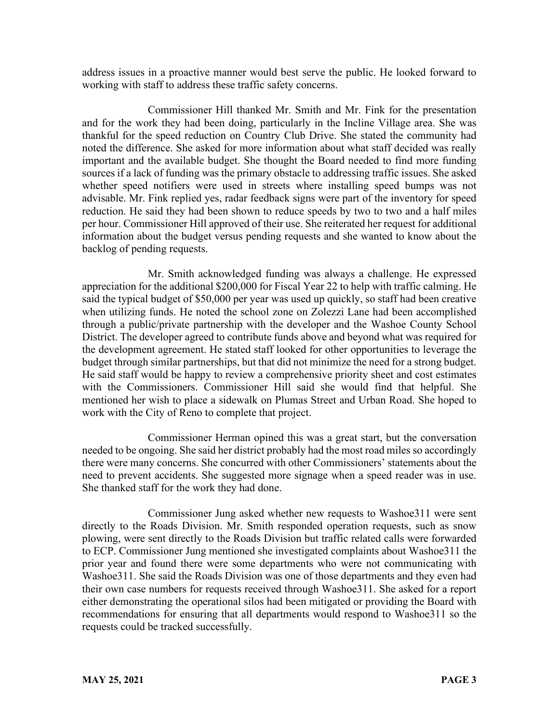address issues in a proactive manner would best serve the public. He looked forward to working with staff to address these traffic safety concerns.

Commissioner Hill thanked Mr. Smith and Mr. Fink for the presentation and for the work they had been doing, particularly in the Incline Village area. She was thankful for the speed reduction on Country Club Drive. She stated the community had noted the difference. She asked for more information about what staff decided was really important and the available budget. She thought the Board needed to find more funding sources if a lack of funding was the primary obstacle to addressing traffic issues. She asked whether speed notifiers were used in streets where installing speed bumps was not advisable. Mr. Fink replied yes, radar feedback signs were part of the inventory for speed reduction. He said they had been shown to reduce speeds by two to two and a half miles per hour. Commissioner Hill approved of their use. She reiterated her request for additional information about the budget versus pending requests and she wanted to know about the backlog of pending requests.

Mr. Smith acknowledged funding was always a challenge. He expressed appreciation for the additional \$200,000 for Fiscal Year 22 to help with traffic calming. He said the typical budget of \$50,000 per year was used up quickly, so staff had been creative when utilizing funds. He noted the school zone on Zolezzi Lane had been accomplished through a public/private partnership with the developer and the Washoe County School District. The developer agreed to contribute funds above and beyond what was required for the development agreement. He stated staff looked for other opportunities to leverage the budget through similar partnerships, but that did not minimize the need for a strong budget. He said staff would be happy to review a comprehensive priority sheet and cost estimates with the Commissioners. Commissioner Hill said she would find that helpful. She mentioned her wish to place a sidewalk on Plumas Street and Urban Road. She hoped to work with the City of Reno to complete that project.

Commissioner Herman opined this was a great start, but the conversation needed to be ongoing. She said her district probably had the most road miles so accordingly there were many concerns. She concurred with other Commissioners' statements about the need to prevent accidents. She suggested more signage when a speed reader was in use. She thanked staff for the work they had done.

Commissioner Jung asked whether new requests to Washoe311 were sent directly to the Roads Division. Mr. Smith responded operation requests, such as snow plowing, were sent directly to the Roads Division but traffic related calls were forwarded to ECP. Commissioner Jung mentioned she investigated complaints about Washoe311 the prior year and found there were some departments who were not communicating with Washoe311. She said the Roads Division was one of those departments and they even had their own case numbers for requests received through Washoe311. She asked for a report either demonstrating the operational silos had been mitigated or providing the Board with recommendations for ensuring that all departments would respond to Washoe311 so the requests could be tracked successfully.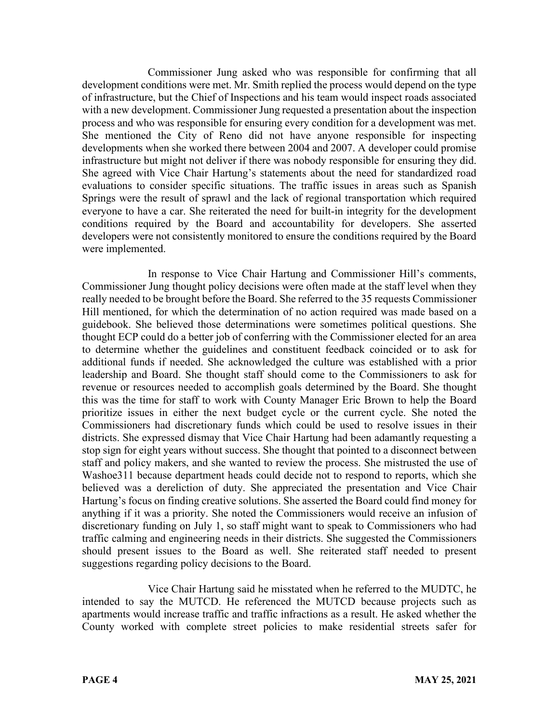Commissioner Jung asked who was responsible for confirming that all development conditions were met. Mr. Smith replied the process would depend on the type of infrastructure, but the Chief of Inspections and his team would inspect roads associated with a new development. Commissioner Jung requested a presentation about the inspection process and who was responsible for ensuring every condition for a development was met. She mentioned the City of Reno did not have anyone responsible for inspecting developments when she worked there between 2004 and 2007. A developer could promise infrastructure but might not deliver if there was nobody responsible for ensuring they did. She agreed with Vice Chair Hartung's statements about the need for standardized road evaluations to consider specific situations. The traffic issues in areas such as Spanish Springs were the result of sprawl and the lack of regional transportation which required everyone to have a car. She reiterated the need for built-in integrity for the development conditions required by the Board and accountability for developers. She asserted developers were not consistently monitored to ensure the conditions required by the Board were implemented.

In response to Vice Chair Hartung and Commissioner Hill's comments, Commissioner Jung thought policy decisions were often made at the staff level when they really needed to be brought before the Board. She referred to the 35 requests Commissioner Hill mentioned, for which the determination of no action required was made based on a guidebook. She believed those determinations were sometimes political questions. She thought ECP could do a better job of conferring with the Commissioner elected for an area to determine whether the guidelines and constituent feedback coincided or to ask for additional funds if needed. She acknowledged the culture was established with a prior leadership and Board. She thought staff should come to the Commissioners to ask for revenue or resources needed to accomplish goals determined by the Board. She thought this was the time for staff to work with County Manager Eric Brown to help the Board prioritize issues in either the next budget cycle or the current cycle. She noted the Commissioners had discretionary funds which could be used to resolve issues in their districts. She expressed dismay that Vice Chair Hartung had been adamantly requesting a stop sign for eight years without success. She thought that pointed to a disconnect between staff and policy makers, and she wanted to review the process. She mistrusted the use of Washoe311 because department heads could decide not to respond to reports, which she believed was a dereliction of duty. She appreciated the presentation and Vice Chair Hartung's focus on finding creative solutions. She asserted the Board could find money for anything if it was a priority. She noted the Commissioners would receive an infusion of discretionary funding on July 1, so staff might want to speak to Commissioners who had traffic calming and engineering needs in their districts. She suggested the Commissioners should present issues to the Board as well. She reiterated staff needed to present suggestions regarding policy decisions to the Board.

Vice Chair Hartung said he misstated when he referred to the MUDTC, he intended to say the MUTCD. He referenced the MUTCD because projects such as apartments would increase traffic and traffic infractions as a result. He asked whether the County worked with complete street policies to make residential streets safer for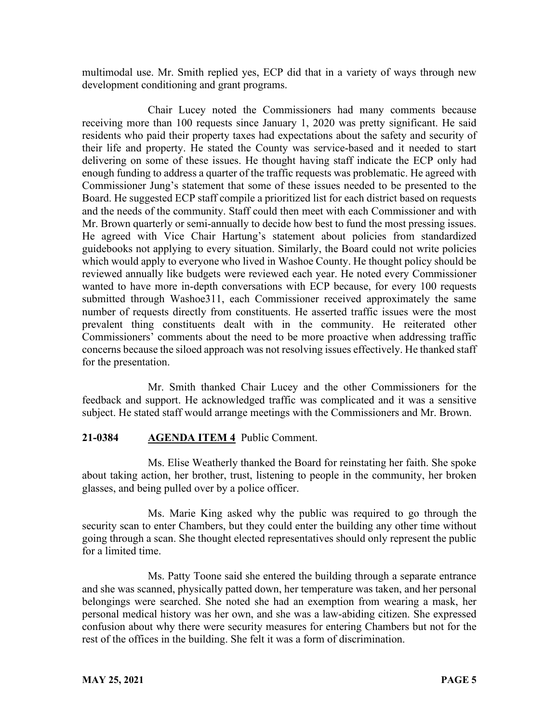multimodal use. Mr. Smith replied yes, ECP did that in a variety of ways through new development conditioning and grant programs.

Chair Lucey noted the Commissioners had many comments because receiving more than 100 requests since January 1, 2020 was pretty significant. He said residents who paid their property taxes had expectations about the safety and security of their life and property. He stated the County was service-based and it needed to start delivering on some of these issues. He thought having staff indicate the ECP only had enough funding to address a quarter of the traffic requests was problematic. He agreed with Commissioner Jung's statement that some of these issues needed to be presented to the Board. He suggested ECP staff compile a prioritized list for each district based on requests and the needs of the community. Staff could then meet with each Commissioner and with Mr. Brown quarterly or semi-annually to decide how best to fund the most pressing issues. He agreed with Vice Chair Hartung's statement about policies from standardized guidebooks not applying to every situation. Similarly, the Board could not write policies which would apply to everyone who lived in Washoe County. He thought policy should be reviewed annually like budgets were reviewed each year. He noted every Commissioner wanted to have more in-depth conversations with ECP because, for every 100 requests submitted through Washoe311, each Commissioner received approximately the same number of requests directly from constituents. He asserted traffic issues were the most prevalent thing constituents dealt with in the community. He reiterated other Commissioners' comments about the need to be more proactive when addressing traffic concerns because the siloed approach was not resolving issues effectively. He thanked staff for the presentation.

Mr. Smith thanked Chair Lucey and the other Commissioners for the feedback and support. He acknowledged traffic was complicated and it was a sensitive subject. He stated staff would arrange meetings with the Commissioners and Mr. Brown.

#### **21-0384 AGENDA ITEM 4** Public Comment.

Ms. Elise Weatherly thanked the Board for reinstating her faith. She spoke about taking action, her brother, trust, listening to people in the community, her broken glasses, and being pulled over by a police officer.

Ms. Marie King asked why the public was required to go through the security scan to enter Chambers, but they could enter the building any other time without going through a scan. She thought elected representatives should only represent the public for a limited time.

Ms. Patty Toone said she entered the building through a separate entrance and she was scanned, physically patted down, her temperature was taken, and her personal belongings were searched. She noted she had an exemption from wearing a mask, her personal medical history was her own, and she was a law-abiding citizen. She expressed confusion about why there were security measures for entering Chambers but not for the rest of the offices in the building. She felt it was a form of discrimination.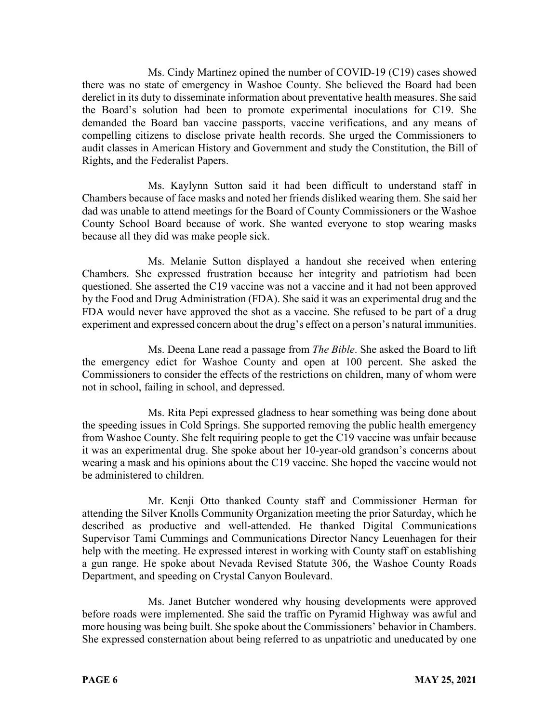Ms. Cindy Martinez opined the number of COVID-19 (C19) cases showed there was no state of emergency in Washoe County. She believed the Board had been derelict in its duty to disseminate information about preventative health measures. She said the Board's solution had been to promote experimental inoculations for C19. She demanded the Board ban vaccine passports, vaccine verifications, and any means of compelling citizens to disclose private health records. She urged the Commissioners to audit classes in American History and Government and study the Constitution, the Bill of Rights, and the Federalist Papers.

Ms. Kaylynn Sutton said it had been difficult to understand staff in Chambers because of face masks and noted her friends disliked wearing them. She said her dad was unable to attend meetings for the Board of County Commissioners or the Washoe County School Board because of work. She wanted everyone to stop wearing masks because all they did was make people sick.

Ms. Melanie Sutton displayed a handout she received when entering Chambers. She expressed frustration because her integrity and patriotism had been questioned. She asserted the C19 vaccine was not a vaccine and it had not been approved by the Food and Drug Administration (FDA). She said it was an experimental drug and the FDA would never have approved the shot as a vaccine. She refused to be part of a drug experiment and expressed concern about the drug's effect on a person's natural immunities.

Ms. Deena Lane read a passage from *The Bible*. She asked the Board to lift the emergency edict for Washoe County and open at 100 percent. She asked the Commissioners to consider the effects of the restrictions on children, many of whom were not in school, failing in school, and depressed.

Ms. Rita Pepi expressed gladness to hear something was being done about the speeding issues in Cold Springs. She supported removing the public health emergency from Washoe County. She felt requiring people to get the C19 vaccine was unfair because it was an experimental drug. She spoke about her 10-year-old grandson's concerns about wearing a mask and his opinions about the C19 vaccine. She hoped the vaccine would not be administered to children.

Mr. Kenji Otto thanked County staff and Commissioner Herman for attending the Silver Knolls Community Organization meeting the prior Saturday, which he described as productive and well-attended. He thanked Digital Communications Supervisor Tami Cummings and Communications Director Nancy Leuenhagen for their help with the meeting. He expressed interest in working with County staff on establishing a gun range. He spoke about Nevada Revised Statute 306, the Washoe County Roads Department, and speeding on Crystal Canyon Boulevard.

Ms. Janet Butcher wondered why housing developments were approved before roads were implemented. She said the traffic on Pyramid Highway was awful and more housing was being built. She spoke about the Commissioners' behavior in Chambers. She expressed consternation about being referred to as unpatriotic and uneducated by one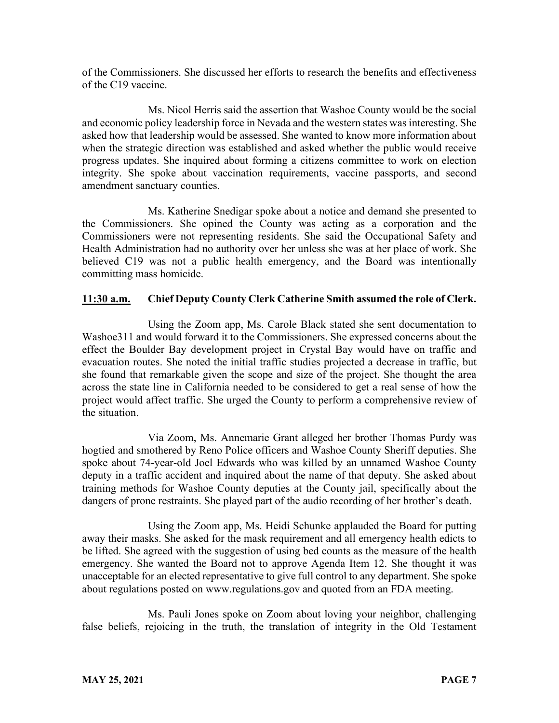of the Commissioners. She discussed her efforts to research the benefits and effectiveness of the C19 vaccine.

Ms. Nicol Herris said the assertion that Washoe County would be the social and economic policy leadership force in Nevada and the western states was interesting. She asked how that leadership would be assessed. She wanted to know more information about when the strategic direction was established and asked whether the public would receive progress updates. She inquired about forming a citizens committee to work on election integrity. She spoke about vaccination requirements, vaccine passports, and second amendment sanctuary counties.

Ms. Katherine Snedigar spoke about a notice and demand she presented to the Commissioners. She opined the County was acting as a corporation and the Commissioners were not representing residents. She said the Occupational Safety and Health Administration had no authority over her unless she was at her place of work. She believed C19 was not a public health emergency, and the Board was intentionally committing mass homicide.

## **11:30 a.m. Chief Deputy County Clerk Catherine Smith assumed the role of Clerk.**

Using the Zoom app, Ms. Carole Black stated she sent documentation to Washoe311 and would forward it to the Commissioners. She expressed concerns about the effect the Boulder Bay development project in Crystal Bay would have on traffic and evacuation routes. She noted the initial traffic studies projected a decrease in traffic, but she found that remarkable given the scope and size of the project. She thought the area across the state line in California needed to be considered to get a real sense of how the project would affect traffic. She urged the County to perform a comprehensive review of the situation.

Via Zoom, Ms. Annemarie Grant alleged her brother Thomas Purdy was hogtied and smothered by Reno Police officers and Washoe County Sheriff deputies. She spoke about 74-year-old Joel Edwards who was killed by an unnamed Washoe County deputy in a traffic accident and inquired about the name of that deputy. She asked about training methods for Washoe County deputies at the County jail, specifically about the dangers of prone restraints. She played part of the audio recording of her brother's death.

Using the Zoom app, Ms. Heidi Schunke applauded the Board for putting away their masks. She asked for the mask requirement and all emergency health edicts to be lifted. She agreed with the suggestion of using bed counts as the measure of the health emergency. She wanted the Board not to approve Agenda Item 12. She thought it was unacceptable for an elected representative to give full control to any department. She spoke about regulations posted on www.regulations.gov and quoted from an FDA meeting.

Ms. Pauli Jones spoke on Zoom about loving your neighbor, challenging false beliefs, rejoicing in the truth, the translation of integrity in the Old Testament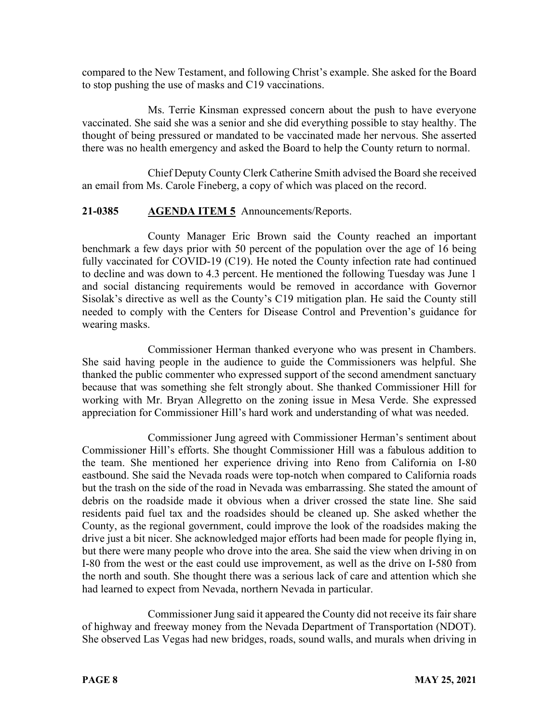compared to the New Testament, and following Christ's example. She asked for the Board to stop pushing the use of masks and C19 vaccinations.

Ms. Terrie Kinsman expressed concern about the push to have everyone vaccinated. She said she was a senior and she did everything possible to stay healthy. The thought of being pressured or mandated to be vaccinated made her nervous. She asserted there was no health emergency and asked the Board to help the County return to normal.

Chief Deputy County Clerk Catherine Smith advised the Board she received an email from Ms. Carole Fineberg, a copy of which was placed on the record.

# **21-0385 AGENDA ITEM 5** Announcements/Reports.

County Manager Eric Brown said the County reached an important benchmark a few days prior with 50 percent of the population over the age of 16 being fully vaccinated for COVID-19 (C19). He noted the County infection rate had continued to decline and was down to 4.3 percent. He mentioned the following Tuesday was June 1 and social distancing requirements would be removed in accordance with Governor Sisolak's directive as well as the County's C19 mitigation plan. He said the County still needed to comply with the Centers for Disease Control and Prevention's guidance for wearing masks.

Commissioner Herman thanked everyone who was present in Chambers. She said having people in the audience to guide the Commissioners was helpful. She thanked the public commenter who expressed support of the second amendment sanctuary because that was something she felt strongly about. She thanked Commissioner Hill for working with Mr. Bryan Allegretto on the zoning issue in Mesa Verde. She expressed appreciation for Commissioner Hill's hard work and understanding of what was needed.

Commissioner Jung agreed with Commissioner Herman's sentiment about Commissioner Hill's efforts. She thought Commissioner Hill was a fabulous addition to the team. She mentioned her experience driving into Reno from California on I-80 eastbound. She said the Nevada roads were top-notch when compared to California roads but the trash on the side of the road in Nevada was embarrassing. She stated the amount of debris on the roadside made it obvious when a driver crossed the state line. She said residents paid fuel tax and the roadsides should be cleaned up. She asked whether the County, as the regional government, could improve the look of the roadsides making the drive just a bit nicer. She acknowledged major efforts had been made for people flying in, but there were many people who drove into the area. She said the view when driving in on I-80 from the west or the east could use improvement, as well as the drive on I-580 from the north and south. She thought there was a serious lack of care and attention which she had learned to expect from Nevada, northern Nevada in particular.

Commissioner Jung said it appeared the County did not receive its fair share of highway and freeway money from the Nevada Department of Transportation (NDOT). She observed Las Vegas had new bridges, roads, sound walls, and murals when driving in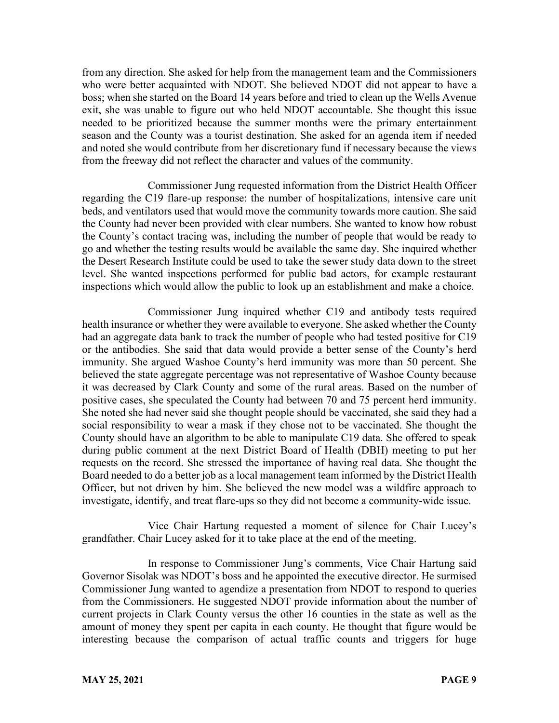from any direction. She asked for help from the management team and the Commissioners who were better acquainted with NDOT. She believed NDOT did not appear to have a boss; when she started on the Board 14 years before and tried to clean up the Wells Avenue exit, she was unable to figure out who held NDOT accountable. She thought this issue needed to be prioritized because the summer months were the primary entertainment season and the County was a tourist destination. She asked for an agenda item if needed and noted she would contribute from her discretionary fund if necessary because the views from the freeway did not reflect the character and values of the community.

Commissioner Jung requested information from the District Health Officer regarding the C19 flare-up response: the number of hospitalizations, intensive care unit beds, and ventilators used that would move the community towards more caution. She said the County had never been provided with clear numbers. She wanted to know how robust the County's contact tracing was, including the number of people that would be ready to go and whether the testing results would be available the same day. She inquired whether the Desert Research Institute could be used to take the sewer study data down to the street level. She wanted inspections performed for public bad actors, for example restaurant inspections which would allow the public to look up an establishment and make a choice.

Commissioner Jung inquired whether C19 and antibody tests required health insurance or whether they were available to everyone. She asked whether the County had an aggregate data bank to track the number of people who had tested positive for C19 or the antibodies. She said that data would provide a better sense of the County's herd immunity. She argued Washoe County's herd immunity was more than 50 percent. She believed the state aggregate percentage was not representative of Washoe County because it was decreased by Clark County and some of the rural areas. Based on the number of positive cases, she speculated the County had between 70 and 75 percent herd immunity. She noted she had never said she thought people should be vaccinated, she said they had a social responsibility to wear a mask if they chose not to be vaccinated. She thought the County should have an algorithm to be able to manipulate C19 data. She offered to speak during public comment at the next District Board of Health (DBH) meeting to put her requests on the record. She stressed the importance of having real data. She thought the Board needed to do a better job as a local management team informed by the District Health Officer, but not driven by him. She believed the new model was a wildfire approach to investigate, identify, and treat flare-ups so they did not become a community-wide issue.

Vice Chair Hartung requested a moment of silence for Chair Lucey's grandfather. Chair Lucey asked for it to take place at the end of the meeting.

In response to Commissioner Jung's comments, Vice Chair Hartung said Governor Sisolak was NDOT's boss and he appointed the executive director. He surmised Commissioner Jung wanted to agendize a presentation from NDOT to respond to queries from the Commissioners. He suggested NDOT provide information about the number of current projects in Clark County versus the other 16 counties in the state as well as the amount of money they spent per capita in each county. He thought that figure would be interesting because the comparison of actual traffic counts and triggers for huge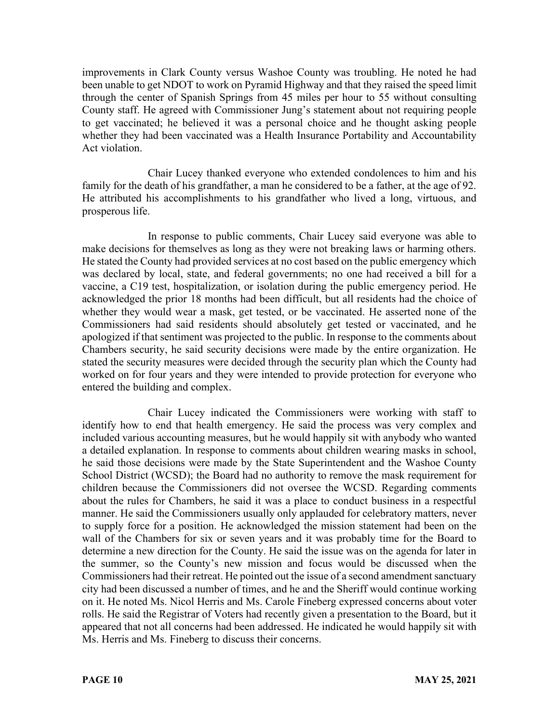improvements in Clark County versus Washoe County was troubling. He noted he had been unable to get NDOT to work on Pyramid Highway and that they raised the speed limit through the center of Spanish Springs from 45 miles per hour to 55 without consulting County staff. He agreed with Commissioner Jung's statement about not requiring people to get vaccinated; he believed it was a personal choice and he thought asking people whether they had been vaccinated was a Health Insurance Portability and Accountability Act violation.

Chair Lucey thanked everyone who extended condolences to him and his family for the death of his grandfather, a man he considered to be a father, at the age of 92. He attributed his accomplishments to his grandfather who lived a long, virtuous, and prosperous life.

In response to public comments, Chair Lucey said everyone was able to make decisions for themselves as long as they were not breaking laws or harming others. He stated the County had provided services at no cost based on the public emergency which was declared by local, state, and federal governments; no one had received a bill for a vaccine, a C19 test, hospitalization, or isolation during the public emergency period. He acknowledged the prior 18 months had been difficult, but all residents had the choice of whether they would wear a mask, get tested, or be vaccinated. He asserted none of the Commissioners had said residents should absolutely get tested or vaccinated, and he apologized if that sentiment was projected to the public. In response to the comments about Chambers security, he said security decisions were made by the entire organization. He stated the security measures were decided through the security plan which the County had worked on for four years and they were intended to provide protection for everyone who entered the building and complex.

Chair Lucey indicated the Commissioners were working with staff to identify how to end that health emergency. He said the process was very complex and included various accounting measures, but he would happily sit with anybody who wanted a detailed explanation. In response to comments about children wearing masks in school, he said those decisions were made by the State Superintendent and the Washoe County School District (WCSD); the Board had no authority to remove the mask requirement for children because the Commissioners did not oversee the WCSD. Regarding comments about the rules for Chambers, he said it was a place to conduct business in a respectful manner. He said the Commissioners usually only applauded for celebratory matters, never to supply force for a position. He acknowledged the mission statement had been on the wall of the Chambers for six or seven years and it was probably time for the Board to determine a new direction for the County. He said the issue was on the agenda for later in the summer, so the County's new mission and focus would be discussed when the Commissioners had their retreat. He pointed out the issue of a second amendment sanctuary city had been discussed a number of times, and he and the Sheriff would continue working on it. He noted Ms. Nicol Herris and Ms. Carole Fineberg expressed concerns about voter rolls. He said the Registrar of Voters had recently given a presentation to the Board, but it appeared that not all concerns had been addressed. He indicated he would happily sit with Ms. Herris and Ms. Fineberg to discuss their concerns.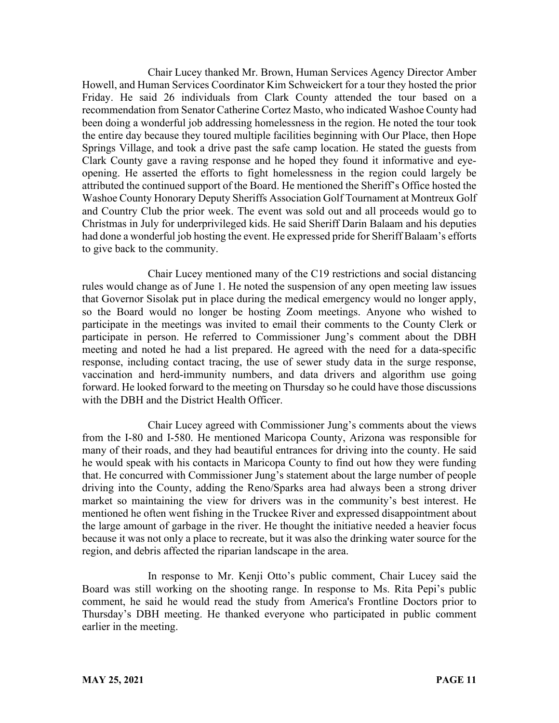Chair Lucey thanked Mr. Brown, Human Services Agency Director Amber Howell, and Human Services Coordinator Kim Schweickert for a tour they hosted the prior Friday. He said 26 individuals from Clark County attended the tour based on a recommendation from Senator Catherine Cortez Masto, who indicated Washoe County had been doing a wonderful job addressing homelessness in the region. He noted the tour took the entire day because they toured multiple facilities beginning with Our Place, then Hope Springs Village, and took a drive past the safe camp location. He stated the guests from Clark County gave a raving response and he hoped they found it informative and eyeopening. He asserted the efforts to fight homelessness in the region could largely be attributed the continued support of the Board. He mentioned the Sheriff's Office hosted the Washoe County Honorary Deputy Sheriffs Association Golf Tournament at Montreux Golf and Country Club the prior week. The event was sold out and all proceeds would go to Christmas in July for underprivileged kids. He said Sheriff Darin Balaam and his deputies had done a wonderful job hosting the event. He expressed pride for Sheriff Balaam's efforts to give back to the community.

Chair Lucey mentioned many of the C19 restrictions and social distancing rules would change as of June 1. He noted the suspension of any open meeting law issues that Governor Sisolak put in place during the medical emergency would no longer apply, so the Board would no longer be hosting Zoom meetings. Anyone who wished to participate in the meetings was invited to email their comments to the County Clerk or participate in person. He referred to Commissioner Jung's comment about the DBH meeting and noted he had a list prepared. He agreed with the need for a data-specific response, including contact tracing, the use of sewer study data in the surge response, vaccination and herd-immunity numbers, and data drivers and algorithm use going forward. He looked forward to the meeting on Thursday so he could have those discussions with the DBH and the District Health Officer.

Chair Lucey agreed with Commissioner Jung's comments about the views from the I-80 and I-580. He mentioned Maricopa County, Arizona was responsible for many of their roads, and they had beautiful entrances for driving into the county. He said he would speak with his contacts in Maricopa County to find out how they were funding that. He concurred with Commissioner Jung's statement about the large number of people driving into the County, adding the Reno/Sparks area had always been a strong driver market so maintaining the view for drivers was in the community's best interest. He mentioned he often went fishing in the Truckee River and expressed disappointment about the large amount of garbage in the river. He thought the initiative needed a heavier focus because it was not only a place to recreate, but it was also the drinking water source for the region, and debris affected the riparian landscape in the area.

In response to Mr. Kenji Otto's public comment, Chair Lucey said the Board was still working on the shooting range. In response to Ms. Rita Pepi's public comment, he said he would read the study from America's Frontline Doctors prior to Thursday's DBH meeting. He thanked everyone who participated in public comment earlier in the meeting.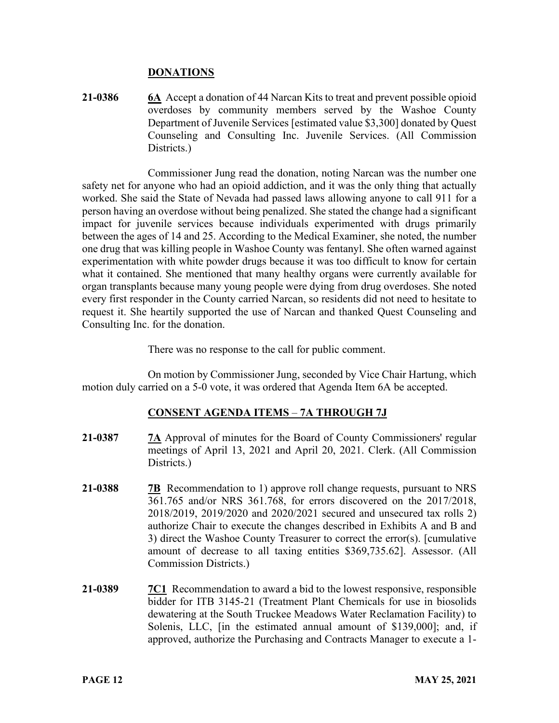#### **DONATIONS**

**21-0386 6A** Accept a donation of 44 Narcan Kits to treat and prevent possible opioid overdoses by community members served by the Washoe County Department of Juvenile Services [estimated value \$3,300] donated by Quest Counseling and Consulting Inc. Juvenile Services. (All Commission Districts.)

Commissioner Jung read the donation, noting Narcan was the number one safety net for anyone who had an opioid addiction, and it was the only thing that actually worked. She said the State of Nevada had passed laws allowing anyone to call 911 for a person having an overdose without being penalized. She stated the change had a significant impact for juvenile services because individuals experimented with drugs primarily between the ages of 14 and 25. According to the Medical Examiner, she noted, the number one drug that was killing people in Washoe County was fentanyl. She often warned against experimentation with white powder drugs because it was too difficult to know for certain what it contained. She mentioned that many healthy organs were currently available for organ transplants because many young people were dying from drug overdoses. She noted every first responder in the County carried Narcan, so residents did not need to hesitate to request it. She heartily supported the use of Narcan and thanked Quest Counseling and Consulting Inc. for the donation.

There was no response to the call for public comment.

On motion by Commissioner Jung, seconded by Vice Chair Hartung, which motion duly carried on a 5-0 vote, it was ordered that Agenda Item 6A be accepted.

# **CONSENT AGENDA ITEMS** – **7A THROUGH 7J**

- **21-0387 7A** Approval of minutes for the Board of County Commissioners' regular meetings of April 13, 2021 and April 20, 2021. Clerk. (All Commission Districts.)
- **21-0388 7B** Recommendation to 1) approve roll change requests, pursuant to NRS 361.765 and/or NRS 361.768, for errors discovered on the 2017/2018, 2018/2019, 2019/2020 and 2020/2021 secured and unsecured tax rolls 2) authorize Chair to execute the changes described in Exhibits A and B and 3) direct the Washoe County Treasurer to correct the error(s). [cumulative amount of decrease to all taxing entities \$369,735.62]. Assessor. (All Commission Districts.)
- **21-0389 7C1** Recommendation to award a bid to the lowest responsive, responsible bidder for ITB 3145-21 (Treatment Plant Chemicals for use in biosolids dewatering at the South Truckee Meadows Water Reclamation Facility) to Solenis, LLC, [in the estimated annual amount of \$139,000]; and, if approved, authorize the Purchasing and Contracts Manager to execute a 1-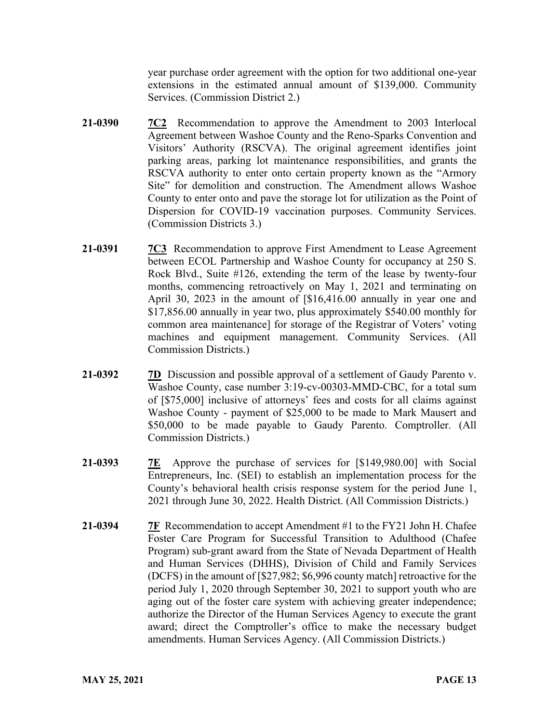year purchase order agreement with the option for two additional one-year extensions in the estimated annual amount of \$139,000. Community Services. (Commission District 2.)

- **21-0390 7C2** Recommendation to approve the Amendment to 2003 Interlocal Agreement between Washoe County and the Reno-Sparks Convention and Visitors' Authority (RSCVA). The original agreement identifies joint parking areas, parking lot maintenance responsibilities, and grants the RSCVA authority to enter onto certain property known as the "Armory Site" for demolition and construction. The Amendment allows Washoe County to enter onto and pave the storage lot for utilization as the Point of Dispersion for COVID-19 vaccination purposes. Community Services. (Commission Districts 3.)
- **21-0391 7C3** Recommendation to approve First Amendment to Lease Agreement between ECOL Partnership and Washoe County for occupancy at 250 S. Rock Blvd., Suite #126, extending the term of the lease by twenty-four months, commencing retroactively on May 1, 2021 and terminating on April 30, 2023 in the amount of [\$16,416.00 annually in year one and \$17,856.00 annually in year two, plus approximately \$540.00 monthly for common area maintenance] for storage of the Registrar of Voters' voting machines and equipment management. Community Services. (All Commission Districts.)
- **21-0392 7D** Discussion and possible approval of a settlement of Gaudy Parento v. Washoe County, case number 3:19-cv-00303-MMD-CBC, for a total sum of [\$75,000] inclusive of attorneys' fees and costs for all claims against Washoe County - payment of \$25,000 to be made to Mark Mausert and \$50,000 to be made payable to Gaudy Parento. Comptroller. (All Commission Districts.)
- **21-0393 7E** Approve the purchase of services for [\$149,980.00] with Social Entrepreneurs, Inc. (SEI) to establish an implementation process for the County's behavioral health crisis response system for the period June 1, 2021 through June 30, 2022. Health District. (All Commission Districts.)
- **21-0394 7F** Recommendation to accept Amendment #1 to the FY21 John H. Chafee Foster Care Program for Successful Transition to Adulthood (Chafee Program) sub-grant award from the State of Nevada Department of Health and Human Services (DHHS), Division of Child and Family Services (DCFS) in the amount of [\$27,982; \$6,996 county match] retroactive for the period July 1, 2020 through September 30, 2021 to support youth who are aging out of the foster care system with achieving greater independence; authorize the Director of the Human Services Agency to execute the grant award; direct the Comptroller's office to make the necessary budget amendments. Human Services Agency. (All Commission Districts.)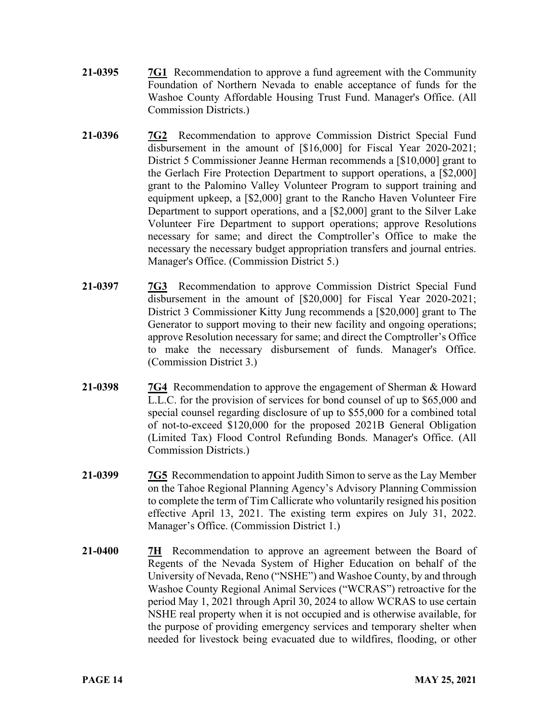- **21-0395 7G1** Recommendation to approve a fund agreement with the Community Foundation of Northern Nevada to enable acceptance of funds for the Washoe County Affordable Housing Trust Fund. Manager's Office. (All Commission Districts.)
- **21-0396 7G2** Recommendation to approve Commission District Special Fund disbursement in the amount of [\$16,000] for Fiscal Year 2020-2021; District 5 Commissioner Jeanne Herman recommends a [\$10,000] grant to the Gerlach Fire Protection Department to support operations, a [\$2,000] grant to the Palomino Valley Volunteer Program to support training and equipment upkeep, a [\$2,000] grant to the Rancho Haven Volunteer Fire Department to support operations, and a [\$2,000] grant to the Silver Lake Volunteer Fire Department to support operations; approve Resolutions necessary for same; and direct the Comptroller's Office to make the necessary the necessary budget appropriation transfers and journal entries. Manager's Office. (Commission District 5.)
- **21-0397 7G3** Recommendation to approve Commission District Special Fund disbursement in the amount of [\$20,000] for Fiscal Year 2020-2021; District 3 Commissioner Kitty Jung recommends a [\$20,000] grant to The Generator to support moving to their new facility and ongoing operations; approve Resolution necessary for same; and direct the Comptroller's Office to make the necessary disbursement of funds. Manager's Office. (Commission District 3.)
- **21-0398 7G4** Recommendation to approve the engagement of Sherman & Howard L.L.C. for the provision of services for bond counsel of up to \$65,000 and special counsel regarding disclosure of up to \$55,000 for a combined total of not-to-exceed \$120,000 for the proposed 2021B General Obligation (Limited Tax) Flood Control Refunding Bonds. Manager's Office. (All Commission Districts.)
- **21-0399 7G5** Recommendation to appoint Judith Simon to serve as the Lay Member on the Tahoe Regional Planning Agency's Advisory Planning Commission to complete the term of Tim Callicrate who voluntarily resigned his position effective April 13, 2021. The existing term expires on July 31, 2022. Manager's Office. (Commission District 1.)
- **21-0400 7H** Recommendation to approve an agreement between the Board of Regents of the Nevada System of Higher Education on behalf of the University of Nevada, Reno ("NSHE") and Washoe County, by and through Washoe County Regional Animal Services ("WCRAS") retroactive for the period May 1, 2021 through April 30, 2024 to allow WCRAS to use certain NSHE real property when it is not occupied and is otherwise available, for the purpose of providing emergency services and temporary shelter when needed for livestock being evacuated due to wildfires, flooding, or other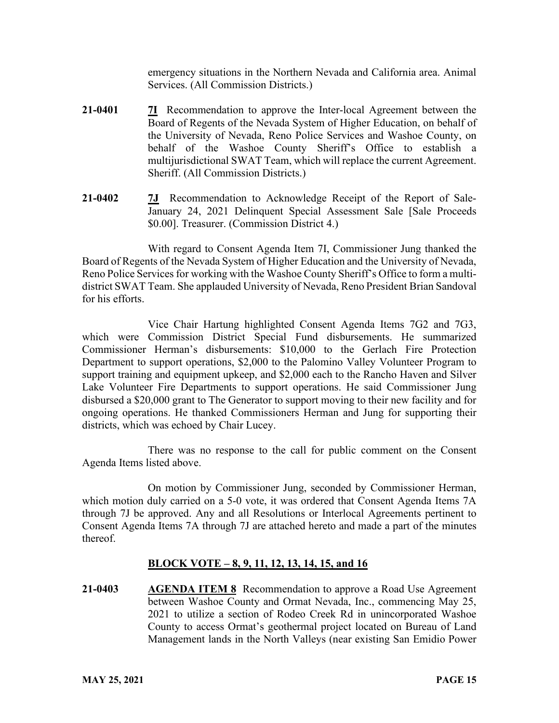emergency situations in the Northern Nevada and California area. Animal Services. (All Commission Districts.)

- **21-0401 7I** Recommendation to approve the Inter-local Agreement between the Board of Regents of the Nevada System of Higher Education, on behalf of the University of Nevada, Reno Police Services and Washoe County, on behalf of the Washoe County Sheriff's Office to establish a multijurisdictional SWAT Team, which will replace the current Agreement. Sheriff. (All Commission Districts.)
- **21-0402 7J** Recommendation to Acknowledge Receipt of the Report of Sale-January 24, 2021 Delinquent Special Assessment Sale [Sale Proceeds \$0.00]. Treasurer. (Commission District 4.)

With regard to Consent Agenda Item 7I, Commissioner Jung thanked the Board of Regents of the Nevada System of Higher Education and the University of Nevada, Reno Police Services for working with the Washoe County Sheriff's Office to form a multidistrict SWAT Team. She applauded University of Nevada, Reno President Brian Sandoval for his efforts.

Vice Chair Hartung highlighted Consent Agenda Items 7G2 and 7G3, which were Commission District Special Fund disbursements. He summarized Commissioner Herman's disbursements: \$10,000 to the Gerlach Fire Protection Department to support operations, \$2,000 to the Palomino Valley Volunteer Program to support training and equipment upkeep, and \$2,000 each to the Rancho Haven and Silver Lake Volunteer Fire Departments to support operations. He said Commissioner Jung disbursed a \$20,000 grant to The Generator to support moving to their new facility and for ongoing operations. He thanked Commissioners Herman and Jung for supporting their districts, which was echoed by Chair Lucey.

There was no response to the call for public comment on the Consent Agenda Items listed above.

On motion by Commissioner Jung, seconded by Commissioner Herman, which motion duly carried on a 5-0 vote, it was ordered that Consent Agenda Items 7A through 7J be approved. Any and all Resolutions or Interlocal Agreements pertinent to Consent Agenda Items 7A through 7J are attached hereto and made a part of the minutes thereof.

# **BLOCK VOTE – 8, 9, 11, 12, 13, 14, 15, and 16**

**21-0403 AGENDA ITEM 8** Recommendation to approve a Road Use Agreement between Washoe County and Ormat Nevada, Inc., commencing May 25, 2021 to utilize a section of Rodeo Creek Rd in unincorporated Washoe County to access Ormat's geothermal project located on Bureau of Land Management lands in the North Valleys (near existing San Emidio Power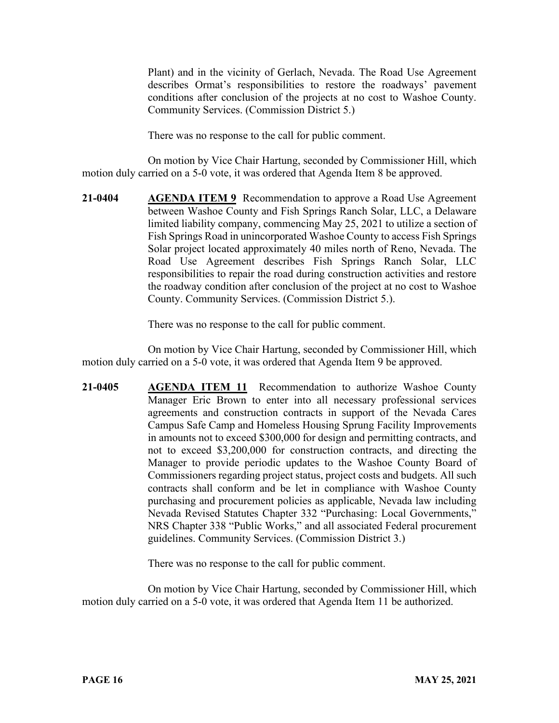Plant) and in the vicinity of Gerlach, Nevada. The Road Use Agreement describes Ormat's responsibilities to restore the roadways' pavement conditions after conclusion of the projects at no cost to Washoe County. Community Services. (Commission District 5.)

There was no response to the call for public comment.

On motion by Vice Chair Hartung, seconded by Commissioner Hill, which motion duly carried on a 5-0 vote, it was ordered that Agenda Item 8 be approved.

**21-0404 AGENDA ITEM 9** Recommendation to approve a Road Use Agreement between Washoe County and Fish Springs Ranch Solar, LLC, a Delaware limited liability company, commencing May 25, 2021 to utilize a section of Fish Springs Road in unincorporated Washoe County to access Fish Springs Solar project located approximately 40 miles north of Reno, Nevada. The Road Use Agreement describes Fish Springs Ranch Solar, LLC responsibilities to repair the road during construction activities and restore the roadway condition after conclusion of the project at no cost to Washoe County. Community Services. (Commission District 5.).

There was no response to the call for public comment.

On motion by Vice Chair Hartung, seconded by Commissioner Hill, which motion duly carried on a 5-0 vote, it was ordered that Agenda Item 9 be approved.

**21-0405 AGENDA ITEM 11** Recommendation to authorize Washoe County Manager Eric Brown to enter into all necessary professional services agreements and construction contracts in support of the Nevada Cares Campus Safe Camp and Homeless Housing Sprung Facility Improvements in amounts not to exceed \$300,000 for design and permitting contracts, and not to exceed \$3,200,000 for construction contracts, and directing the Manager to provide periodic updates to the Washoe County Board of Commissioners regarding project status, project costs and budgets. All such contracts shall conform and be let in compliance with Washoe County purchasing and procurement policies as applicable, Nevada law including Nevada Revised Statutes Chapter 332 "Purchasing: Local Governments," NRS Chapter 338 "Public Works," and all associated Federal procurement guidelines. Community Services. (Commission District 3.)

There was no response to the call for public comment.

On motion by Vice Chair Hartung, seconded by Commissioner Hill, which motion duly carried on a 5-0 vote, it was ordered that Agenda Item 11 be authorized.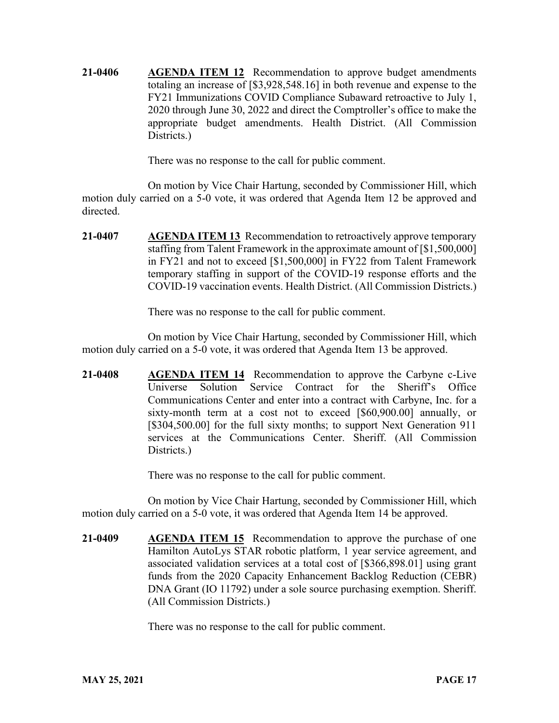**21-0406 AGENDA ITEM 12** Recommendation to approve budget amendments totaling an increase of [\$3,928,548.16] in both revenue and expense to the FY21 Immunizations COVID Compliance Subaward retroactive to July 1, 2020 through June 30, 2022 and direct the Comptroller's office to make the appropriate budget amendments. Health District. (All Commission Districts.)

There was no response to the call for public comment.

On motion by Vice Chair Hartung, seconded by Commissioner Hill, which motion duly carried on a 5-0 vote, it was ordered that Agenda Item 12 be approved and directed.

**21-0407 AGENDA ITEM 13** Recommendation to retroactively approve temporary staffing from Talent Framework in the approximate amount of [\$1,500,000] in FY21 and not to exceed [\$1,500,000] in FY22 from Talent Framework temporary staffing in support of the COVID-19 response efforts and the COVID-19 vaccination events. Health District. (All Commission Districts.)

There was no response to the call for public comment.

On motion by Vice Chair Hartung, seconded by Commissioner Hill, which motion duly carried on a 5-0 vote, it was ordered that Agenda Item 13 be approved.

**21-0408 AGENDA ITEM 14** Recommendation to approve the Carbyne c-Live Universe Solution Service Contract for the Sheriff's Office Communications Center and enter into a contract with Carbyne, Inc. for a sixty-month term at a cost not to exceed [\$60,900.00] annually, or [\$304,500.00] for the full sixty months; to support Next Generation 911 services at the Communications Center. Sheriff. (All Commission Districts.

There was no response to the call for public comment.

On motion by Vice Chair Hartung, seconded by Commissioner Hill, which motion duly carried on a 5-0 vote, it was ordered that Agenda Item 14 be approved.

**21-0409 AGENDA ITEM 15** Recommendation to approve the purchase of one Hamilton AutoLys STAR robotic platform, 1 year service agreement, and associated validation services at a total cost of [\$366,898.01] using grant funds from the 2020 Capacity Enhancement Backlog Reduction (CEBR) DNA Grant (IO 11792) under a sole source purchasing exemption. Sheriff. (All Commission Districts.)

There was no response to the call for public comment.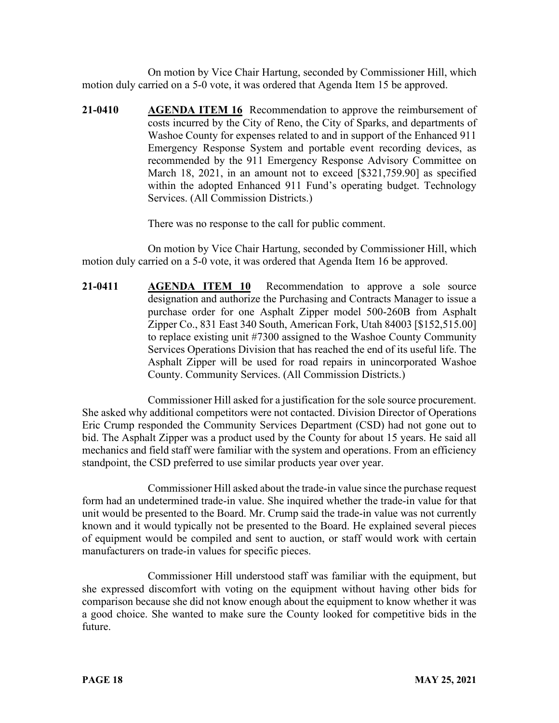On motion by Vice Chair Hartung, seconded by Commissioner Hill, which motion duly carried on a 5-0 vote, it was ordered that Agenda Item 15 be approved.

**21-0410 AGENDA ITEM 16** Recommendation to approve the reimbursement of costs incurred by the City of Reno, the City of Sparks, and departments of Washoe County for expenses related to and in support of the Enhanced 911 Emergency Response System and portable event recording devices, as recommended by the 911 Emergency Response Advisory Committee on March 18, 2021, in an amount not to exceed [\$321,759.90] as specified within the adopted Enhanced 911 Fund's operating budget. Technology Services. (All Commission Districts.)

There was no response to the call for public comment.

On motion by Vice Chair Hartung, seconded by Commissioner Hill, which motion duly carried on a 5-0 vote, it was ordered that Agenda Item 16 be approved.

**21-0411 AGENDA ITEM 10** Recommendation to approve a sole source designation and authorize the Purchasing and Contracts Manager to issue a purchase order for one Asphalt Zipper model 500-260B from Asphalt Zipper Co., 831 East 340 South, American Fork, Utah 84003 [\$152,515.00] to replace existing unit #7300 assigned to the Washoe County Community Services Operations Division that has reached the end of its useful life. The Asphalt Zipper will be used for road repairs in unincorporated Washoe County. Community Services. (All Commission Districts.)

Commissioner Hill asked for a justification for the sole source procurement. She asked why additional competitors were not contacted. Division Director of Operations Eric Crump responded the Community Services Department (CSD) had not gone out to bid. The Asphalt Zipper was a product used by the County for about 15 years. He said all mechanics and field staff were familiar with the system and operations. From an efficiency standpoint, the CSD preferred to use similar products year over year.

Commissioner Hill asked about the trade-in value since the purchase request form had an undetermined trade-in value. She inquired whether the trade-in value for that unit would be presented to the Board. Mr. Crump said the trade-in value was not currently known and it would typically not be presented to the Board. He explained several pieces of equipment would be compiled and sent to auction, or staff would work with certain manufacturers on trade-in values for specific pieces.

Commissioner Hill understood staff was familiar with the equipment, but she expressed discomfort with voting on the equipment without having other bids for comparison because she did not know enough about the equipment to know whether it was a good choice. She wanted to make sure the County looked for competitive bids in the future.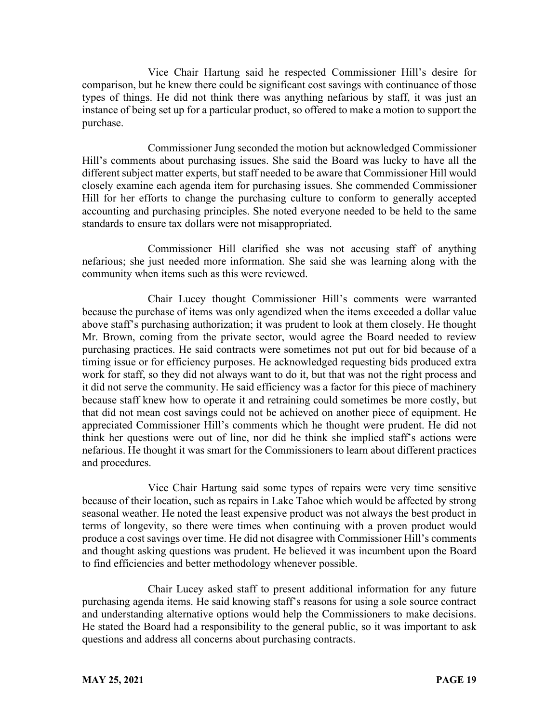Vice Chair Hartung said he respected Commissioner Hill's desire for comparison, but he knew there could be significant cost savings with continuance of those types of things. He did not think there was anything nefarious by staff, it was just an instance of being set up for a particular product, so offered to make a motion to support the purchase.

Commissioner Jung seconded the motion but acknowledged Commissioner Hill's comments about purchasing issues. She said the Board was lucky to have all the different subject matter experts, but staff needed to be aware that Commissioner Hill would closely examine each agenda item for purchasing issues. She commended Commissioner Hill for her efforts to change the purchasing culture to conform to generally accepted accounting and purchasing principles. She noted everyone needed to be held to the same standards to ensure tax dollars were not misappropriated.

Commissioner Hill clarified she was not accusing staff of anything nefarious; she just needed more information. She said she was learning along with the community when items such as this were reviewed.

Chair Lucey thought Commissioner Hill's comments were warranted because the purchase of items was only agendized when the items exceeded a dollar value above staff's purchasing authorization; it was prudent to look at them closely. He thought Mr. Brown, coming from the private sector, would agree the Board needed to review purchasing practices. He said contracts were sometimes not put out for bid because of a timing issue or for efficiency purposes. He acknowledged requesting bids produced extra work for staff, so they did not always want to do it, but that was not the right process and it did not serve the community. He said efficiency was a factor for this piece of machinery because staff knew how to operate it and retraining could sometimes be more costly, but that did not mean cost savings could not be achieved on another piece of equipment. He appreciated Commissioner Hill's comments which he thought were prudent. He did not think her questions were out of line, nor did he think she implied staff's actions were nefarious. He thought it was smart for the Commissioners to learn about different practices and procedures.

Vice Chair Hartung said some types of repairs were very time sensitive because of their location, such as repairs in Lake Tahoe which would be affected by strong seasonal weather. He noted the least expensive product was not always the best product in terms of longevity, so there were times when continuing with a proven product would produce a cost savings over time. He did not disagree with Commissioner Hill's comments and thought asking questions was prudent. He believed it was incumbent upon the Board to find efficiencies and better methodology whenever possible.

Chair Lucey asked staff to present additional information for any future purchasing agenda items. He said knowing staff's reasons for using a sole source contract and understanding alternative options would help the Commissioners to make decisions. He stated the Board had a responsibility to the general public, so it was important to ask questions and address all concerns about purchasing contracts.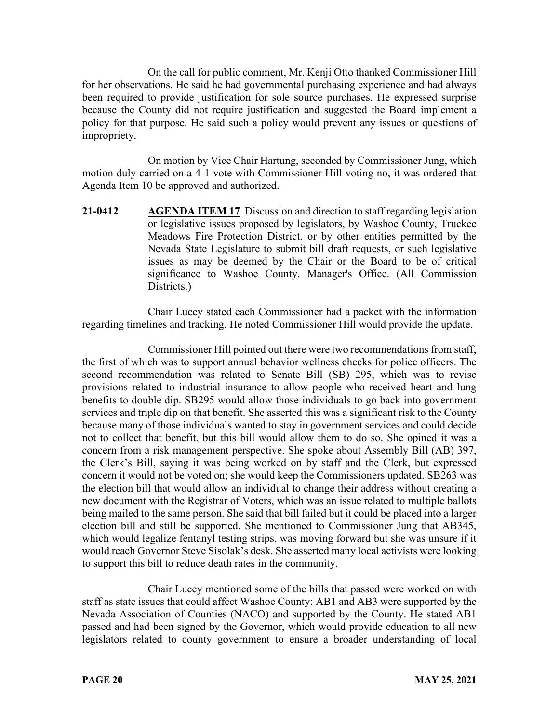On the call for public comment, Mr. Kenji Otto thanked Commissioner Hill for her observations. He said he had governmental purchasing experience and had always been required to provide justification for sole source purchases. He expressed surprise because the County did not require justification and suggested the Board implement a policy for that purpose. He said such a policy would prevent any issues or questions of impropriety.

On motion by Vice Chair Hartung, seconded by Commissioner Jung, which motion duly carried on a 4-1 vote with Commissioner Hill voting no, it was ordered that Agenda Item 10 be approved and authorized.

**21-0412 AGENDA ITEM 17** Discussion and direction to staff regarding legislation or legislative issues proposed by legislators, by Washoe County, Truckee Meadows Fire Protection District, or by other entities permitted by the Nevada State Legislature to submit bill draft requests, or such legislative issues as may be deemed by the Chair or the Board to be of critical significance to Washoe County. Manager's Office. (All Commission Districts.)

Chair Lucey stated each Commissioner had a packet with the information regarding timelines and tracking. He noted Commissioner Hill would provide the update.

Commissioner Hill pointed out there were two recommendations from staff, the first of which was to support annual behavior wellness checks for police officers. The second recommendation was related to Senate Bill (SB) 295, which was to revise provisions related to industrial insurance to allow people who received heart and lung benefits to double dip. SB295 would allow those individuals to go back into government services and triple dip on that benefit. She asserted this was a significant risk to the County because many of those individuals wanted to stay in government services and could decide not to collect that benefit, but this bill would allow them to do so. She opined it was a concern from a risk management perspective. She spoke about Assembly Bill (AB) 397, the Clerk's Bill, saying it was being worked on by staff and the Clerk, but expressed concern it would not be voted on; she would keep the Commissioners updated. SB263 was the election bill that would allow an individual to change their address without creating a new document with the Registrar of Voters, which was an issue related to multiple ballots being mailed to the same person. She said that bill failed but it could be placed into a larger election bill and still be supported. She mentioned to Commissioner Jung that AB345, which would legalize fentanyl testing strips, was moving forward but she was unsure if it would reach Governor Steve Sisolak's desk. She asserted many local activists were looking to support this bill to reduce death rates in the community.

Chair Lucey mentioned some of the bills that passed were worked on with staff as state issues that could affect Washoe County; AB1 and AB3 were supported by the Nevada Association of Counties (NACO) and supported by the County. He stated AB1 passed and had been signed by the Governor, which would provide education to all new legislators related to county government to ensure a broader understanding of local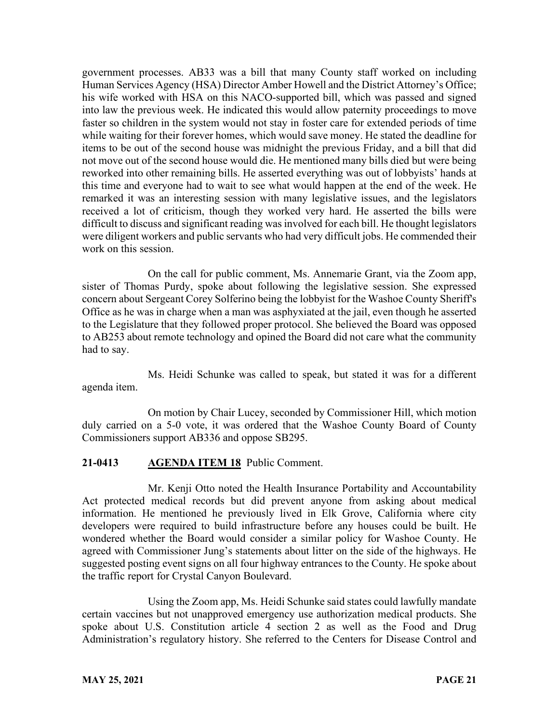government processes. AB33 was a bill that many County staff worked on including Human Services Agency (HSA) Director Amber Howell and the District Attorney's Office; his wife worked with HSA on this NACO-supported bill, which was passed and signed into law the previous week. He indicated this would allow paternity proceedings to move faster so children in the system would not stay in foster care for extended periods of time while waiting for their forever homes, which would save money. He stated the deadline for items to be out of the second house was midnight the previous Friday, and a bill that did not move out of the second house would die. He mentioned many bills died but were being reworked into other remaining bills. He asserted everything was out of lobbyists' hands at this time and everyone had to wait to see what would happen at the end of the week. He remarked it was an interesting session with many legislative issues, and the legislators received a lot of criticism, though they worked very hard. He asserted the bills were difficult to discuss and significant reading was involved for each bill. He thought legislators were diligent workers and public servants who had very difficult jobs. He commended their work on this session.

On the call for public comment, Ms. Annemarie Grant, via the Zoom app, sister of Thomas Purdy, spoke about following the legislative session. She expressed concern about Sergeant Corey Solferino being the lobbyist for the Washoe County Sheriff's Office as he was in charge when a man was asphyxiated at the jail, even though he asserted to the Legislature that they followed proper protocol. She believed the Board was opposed to AB253 about remote technology and opined the Board did not care what the community had to say.

Ms. Heidi Schunke was called to speak, but stated it was for a different agenda item.

On motion by Chair Lucey, seconded by Commissioner Hill, which motion duly carried on a 5-0 vote, it was ordered that the Washoe County Board of County Commissioners support AB336 and oppose SB295.

# **21-0413 AGENDA ITEM 18** Public Comment.

Mr. Kenji Otto noted the Health Insurance Portability and Accountability Act protected medical records but did prevent anyone from asking about medical information. He mentioned he previously lived in Elk Grove, California where city developers were required to build infrastructure before any houses could be built. He wondered whether the Board would consider a similar policy for Washoe County. He agreed with Commissioner Jung's statements about litter on the side of the highways. He suggested posting event signs on all four highway entrances to the County. He spoke about the traffic report for Crystal Canyon Boulevard.

Using the Zoom app, Ms. Heidi Schunke said states could lawfully mandate certain vaccines but not unapproved emergency use authorization medical products. She spoke about U.S. Constitution article 4 section 2 as well as the Food and Drug Administration's regulatory history. She referred to the Centers for Disease Control and